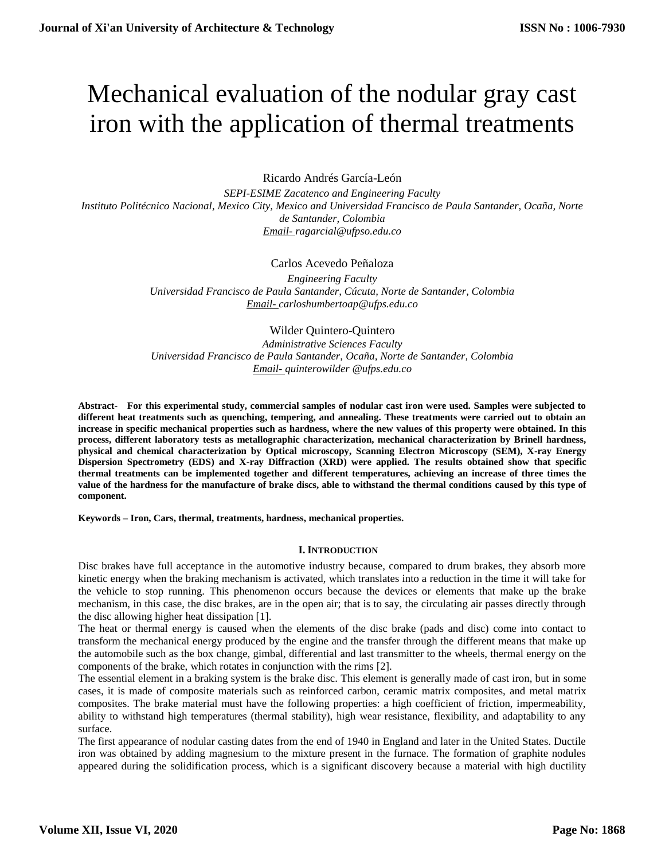# Mechanical evaluation of the nodular gray cast iron with the application of thermal treatments

Ricardo Andrés García-León

*SEPI-ESIME Zacatenco and Engineering Faculty Instituto Politécnico Nacional, Mexico City, Mexico and Universidad Francisco de Paula Santander, Ocaña, Norte de Santander, Colombia Email- ragarcial@ufpso.edu.co*

Carlos Acevedo Peñaloza

*Engineering Faculty Universidad Francisco de Paula Santander, Cúcuta, Norte de Santander, Colombia Email- carloshumbertoap@ufps.edu.co*

Wilder Quintero-Quintero

*Administrative Sciences Faculty Universidad Francisco de Paula Santander, Ocaña, Norte de Santander, Colombia Email- quinterowilder @ufps.edu.co*

**Abstract- For this experimental study, commercial samples of nodular cast iron were used. Samples were subjected to different heat treatments such as quenching, tempering, and annealing. These treatments were carried out to obtain an increase in specific mechanical properties such as hardness, where the new values of this property were obtained. In this process, different laboratory tests as metallographic characterization, mechanical characterization by Brinell hardness, physical and chemical characterization by Optical microscopy, Scanning Electron Microscopy (SEM), X-ray Energy Dispersion Spectrometry (EDS) and X-ray Diffraction (XRD) were applied. The results obtained show that specific thermal treatments can be implemented together and different temperatures, achieving an increase of three times the value of the hardness for the manufacture of brake discs, able to withstand the thermal conditions caused by this type of component.**

**Keywords – Iron, Cars, thermal, treatments, hardness, mechanical properties.**

#### **I. INTRODUCTION**

Disc brakes have full acceptance in the automotive industry because, compared to drum brakes, they absorb more kinetic energy when the braking mechanism is activated, which translates into a reduction in the time it will take for the vehicle to stop running. This phenomenon occurs because the devices or elements that make up the brake mechanism, in this case, the disc brakes, are in the open air; that is to say, the circulating air passes directly through the disc allowing higher heat dissipation [1].

The heat or thermal energy is caused when the elements of the disc brake (pads and disc) come into contact to transform the mechanical energy produced by the engine and the transfer through the different means that make up the automobile such as the box change, gimbal, differential and last transmitter to the wheels, thermal energy on the components of the brake, which rotates in conjunction with the rims [2].

The essential element in a braking system is the brake disc. This element is generally made of cast iron, but in some cases, it is made of composite materials such as reinforced carbon, ceramic matrix composites, and metal matrix composites. The brake material must have the following properties: a high coefficient of friction, impermeability, ability to withstand high temperatures (thermal stability), high wear resistance, flexibility, and adaptability to any surface.

The first appearance of nodular casting dates from the end of 1940 in England and later in the United States. Ductile iron was obtained by adding magnesium to the mixture present in the furnace. The formation of graphite nodules appeared during the solidification process, which is a significant discovery because a material with high ductility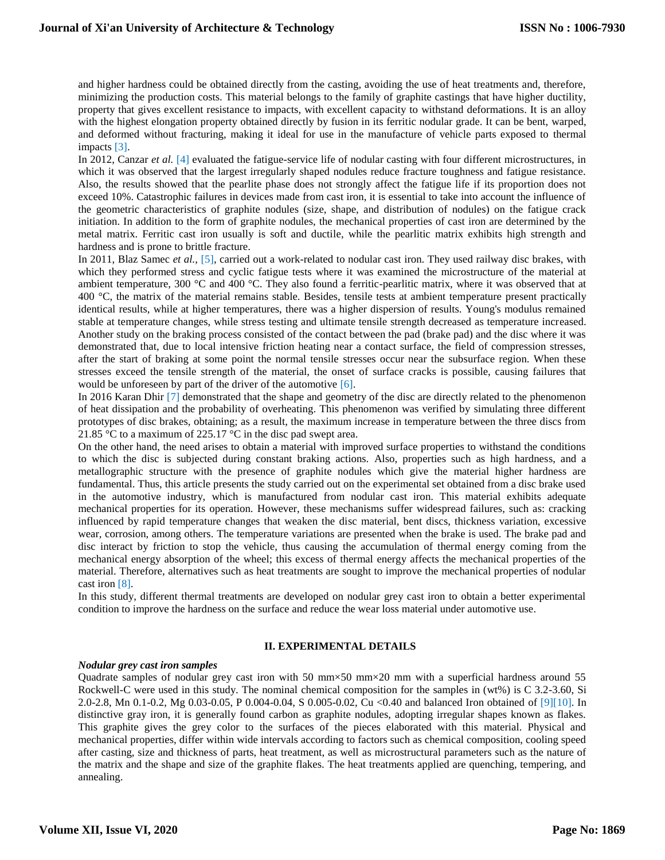and higher hardness could be obtained directly from the casting, avoiding the use of heat treatments and, therefore, minimizing the production costs. This material belongs to the family of graphite castings that have higher ductility, property that gives excellent resistance to impacts, with excellent capacity to withstand deformations. It is an alloy with the highest elongation property obtained directly by fusion in its ferritic nodular grade. It can be bent, warped, and deformed without fracturing, making it ideal for use in the manufacture of vehicle parts exposed to thermal impacts [3].

In 2012, Canzar *et al.* [4] evaluated the fatigue-service life of nodular casting with four different microstructures, in which it was observed that the largest irregularly shaped nodules reduce fracture toughness and fatigue resistance. Also, the results showed that the pearlite phase does not strongly affect the fatigue life if its proportion does not exceed 10%. Catastrophic failures in devices made from cast iron, it is essential to take into account the influence of the geometric characteristics of graphite nodules (size, shape, and distribution of nodules) on the fatigue crack initiation. In addition to the form of graphite nodules, the mechanical properties of cast iron are determined by the metal matrix. Ferritic cast iron usually is soft and ductile, while the pearlitic matrix exhibits high strength and hardness and is prone to brittle fracture.

In 2011, Blaz Samec *et al.,* [5], carried out a work-related to nodular cast iron. They used railway disc brakes, with which they performed stress and cyclic fatigue tests where it was examined the microstructure of the material at ambient temperature, 300 °C and 400 °C. They also found a ferritic-pearlitic matrix, where it was observed that at 400 °C, the matrix of the material remains stable. Besides, tensile tests at ambient temperature present practically identical results, while at higher temperatures, there was a higher dispersion of results. Young's modulus remained stable at temperature changes, while stress testing and ultimate tensile strength decreased as temperature increased. Another study on the braking process consisted of the contact between the pad (brake pad) and the disc where it was demonstrated that, due to local intensive friction heating near a contact surface, the field of compression stresses, after the start of braking at some point the normal tensile stresses occur near the subsurface region. When these stresses exceed the tensile strength of the material, the onset of surface cracks is possible, causing failures that would be unforeseen by part of the driver of the automotive [6].

In 2016 Karan Dhir [7] demonstrated that the shape and geometry of the disc are directly related to the phenomenon of heat dissipation and the probability of overheating. This phenomenon was verified by simulating three different prototypes of disc brakes, obtaining; as a result, the maximum increase in temperature between the three discs from 21.85 °C to a maximum of 225.17 °C in the disc pad swept area.

On the other hand, the need arises to obtain a material with improved surface properties to withstand the conditions to which the disc is subjected during constant braking actions. Also, properties such as high hardness, and a metallographic structure with the presence of graphite nodules which give the material higher hardness are fundamental. Thus, this article presents the study carried out on the experimental set obtained from a disc brake used in the automotive industry, which is manufactured from nodular cast iron. This material exhibits adequate mechanical properties for its operation. However, these mechanisms suffer widespread failures, such as: cracking influenced by rapid temperature changes that weaken the disc material, bent discs, thickness variation, excessive wear, corrosion, among others. The temperature variations are presented when the brake is used. The brake pad and disc interact by friction to stop the vehicle, thus causing the accumulation of thermal energy coming from the mechanical energy absorption of the wheel; this excess of thermal energy affects the mechanical properties of the material. Therefore, alternatives such as heat treatments are sought to improve the mechanical properties of nodular cast iron [8].

In this study, different thermal treatments are developed on nodular grey cast iron to obtain a better experimental condition to improve the hardness on the surface and reduce the wear loss material under automotive use.

## **II. EXPERIMENTAL DETAILS**

#### *Nodular grey cast iron samples*

Quadrate samples of nodular grey cast iron with 50 mm×50 mm×20 mm with a superficial hardness around 55 Rockwell-C were used in this study. The nominal chemical composition for the samples in (wt%) is C 3.2-3.60, Si 2.0-2.8, Mn 0.1-0.2, Mg 0.03-0.05, P 0.004-0.04, S 0.005-0.02, Cu <0.40 and balanced Iron obtained of [9][10]. In distinctive gray iron, it is generally found carbon as graphite nodules, adopting irregular shapes known as flakes. This graphite gives the grey color to the surfaces of the pieces elaborated with this material. Physical and mechanical properties, differ within wide intervals according to factors such as chemical composition, cooling speed after casting, size and thickness of parts, heat treatment, as well as microstructural parameters such as the nature of the matrix and the shape and size of the graphite flakes. The heat treatments applied are quenching, tempering, and annealing.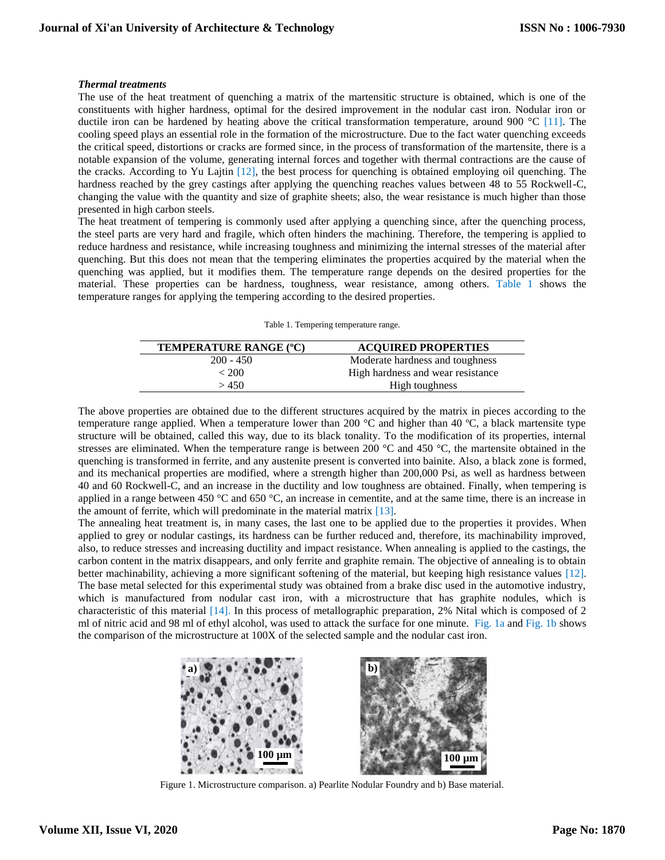#### *Thermal treatments*

The use of the heat treatment of quenching a matrix of the martensitic structure is obtained, which is one of the constituents with higher hardness, optimal for the desired improvement in the nodular cast iron. Nodular iron or ductile iron can be hardened by heating above the critical transformation temperature, around 900  $^{\circ}$ C [11]. The cooling speed plays an essential role in the formation of the microstructure. Due to the fact water quenching exceeds the critical speed, distortions or cracks are formed since, in the process of transformation of the martensite, there is a notable expansion of the volume, generating internal forces and together with thermal contractions are the cause of the cracks. According to Yu Lajtin [12], the best process for quenching is obtained employing oil quenching. The hardness reached by the grey castings after applying the quenching reaches values between 48 to 55 Rockwell-C, changing the value with the quantity and size of graphite sheets; also, the wear resistance is much higher than those presented in high carbon steels.

The heat treatment of tempering is commonly used after applying a quenching since, after the quenching process, the steel parts are very hard and fragile, which often hinders the machining. Therefore, the tempering is applied to reduce hardness and resistance, while increasing toughness and minimizing the internal stresses of the material after quenching. But this does not mean that the tempering eliminates the properties acquired by the material when the quenching was applied, but it modifies them. The temperature range depends on the desired properties for the material. These properties can be hardness, toughness, wear resistance, among others. Table 1 shows the temperature ranges for applying the tempering according to the desired properties.

|  |  | Table 1. Tempering temperature range. |  |
|--|--|---------------------------------------|--|
|  |  |                                       |  |

| <b>TEMPERATURE RANGE (°C)</b> | <b>ACQUIRED PROPERTIES</b>        |
|-------------------------------|-----------------------------------|
| $200 - 450$                   | Moderate hardness and toughness   |
| < 200                         | High hardness and wear resistance |
| > 450                         | High toughness                    |

The above properties are obtained due to the different structures acquired by the matrix in pieces according to the temperature range applied. When a temperature lower than 200 °C and higher than 40 ºC, a black martensite type structure will be obtained, called this way, due to its black tonality. To the modification of its properties, internal stresses are eliminated. When the temperature range is between 200 °C and 450 °C, the martensite obtained in the quenching is transformed in ferrite, and any austenite present is converted into bainite. Also, a black zone is formed, and its mechanical properties are modified, where a strength higher than 200,000 Psi, as well as hardness between 40 and 60 Rockwell-C, and an increase in the ductility and low toughness are obtained. Finally, when tempering is applied in a range between 450 °C and 650 °C, an increase in cementite, and at the same time, there is an increase in the amount of ferrite, which will predominate in the material matrix [13].

The annealing heat treatment is, in many cases, the last one to be applied due to the properties it provides. When applied to grey or nodular castings, its hardness can be further reduced and, therefore, its machinability improved, also, to reduce stresses and increasing ductility and impact resistance. When annealing is applied to the castings, the carbon content in the matrix disappears, and only ferrite and graphite remain. The objective of annealing is to obtain better machinability, achieving a more significant softening of the material, but keeping high resistance values [12]. The base metal selected for this experimental study was obtained from a brake disc used in the automotive industry, which is manufactured from nodular cast iron, with a microstructure that has graphite nodules, which is characteristic of this material [14]. In this process of metallographic preparation, 2% Nital which is composed of 2 ml of nitric acid and 98 ml of ethyl alcohol, was used to attack the surface for one minute. Fig. 1a and Fig. 1b shows the comparison of the microstructure at 100X of the selected sample and the nodular cast iron.



Figure 1. Microstructure comparison. a) Pearlite Nodular Foundry and b) Base material.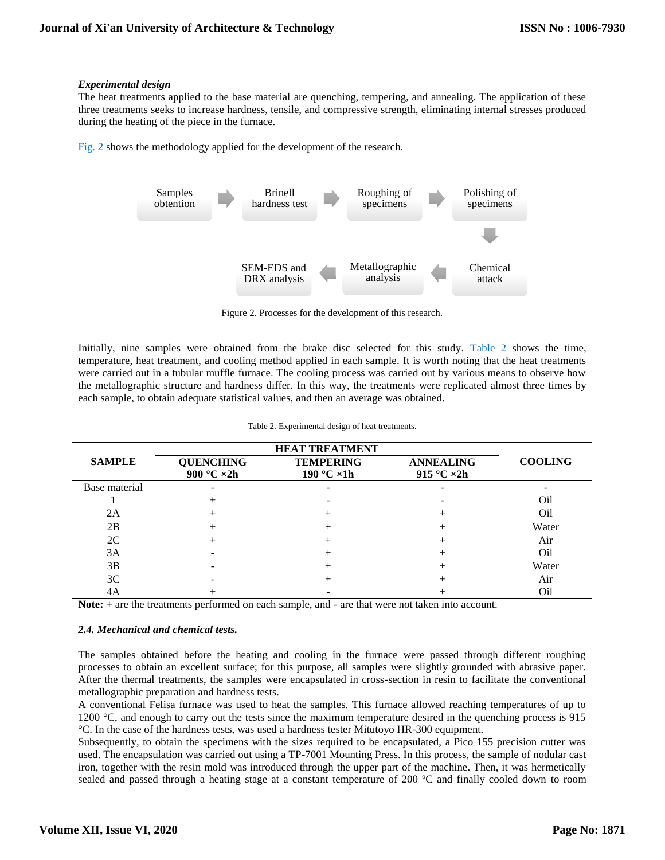#### *Experimental design*

The heat treatments applied to the base material are quenching, tempering, and annealing. The application of these three treatments seeks to increase hardness, tensile, and compressive strength, eliminating internal stresses produced during the heating of the piece in the furnace.

Fig. 2 shows the methodology applied for the development of the research.



Figure 2. Processes for the development of this research.

Initially, nine samples were obtained from the brake disc selected for this study. Table 2 shows the time, temperature, heat treatment, and cooling method applied in each sample. It is worth noting that the heat treatments were carried out in a tubular muffle furnace. The cooling process was carried out by various means to observe how the metallographic structure and hardness differ. In this way, the treatments were replicated almost three times by each sample, to obtain adequate statistical values, and then an average was obtained.

|                | <b>HEAT TREATMENT</b>                  |                                        |                                        |                 |  |
|----------------|----------------------------------------|----------------------------------------|----------------------------------------|-----------------|--|
| <b>SAMPLE</b>  | <b>QUENCHING</b><br>900 °C $\times$ 2h | <b>TEMPERING</b><br>190 °C $\times$ 1h | <b>ANNEALING</b><br>915 °C $\times$ 2h | <b>COOLING</b>  |  |
| Base material  |                                        |                                        |                                        |                 |  |
|                |                                        |                                        |                                        | Oil             |  |
| 2A             |                                        |                                        |                                        | O <sub>il</sub> |  |
| 2B             |                                        |                                        |                                        | Water           |  |
| 2C             |                                        |                                        |                                        | Air             |  |
| 3A             |                                        |                                        |                                        | O <sub>il</sub> |  |
| 3B             |                                        |                                        |                                        | Water           |  |
| 3 <sup>C</sup> |                                        |                                        |                                        | Air             |  |
| 4Α             |                                        |                                        |                                        | Oil             |  |

| Table 2. Experimental design of heat treatments. |  |  |
|--------------------------------------------------|--|--|
|                                                  |  |  |

**Note: +** are the treatments performed on each sample, and - are that were not taken into account.

#### *2.4. Mechanical and chemical tests.*

The samples obtained before the heating and cooling in the furnace were passed through different roughing processes to obtain an excellent surface; for this purpose, all samples were slightly grounded with abrasive paper. After the thermal treatments, the samples were encapsulated in cross-section in resin to facilitate the conventional metallographic preparation and hardness tests.

A conventional Felisa furnace was used to heat the samples. This furnace allowed reaching temperatures of up to 1200 °C, and enough to carry out the tests since the maximum temperature desired in the quenching process is 915 °C. In the case of the hardness tests, was used a hardness tester Mitutoyo HR-300 equipment.

Subsequently, to obtain the specimens with the sizes required to be encapsulated, a Pico 155 precision cutter was used. The encapsulation was carried out using a TP-7001 Mounting Press. In this process, the sample of nodular cast iron, together with the resin mold was introduced through the upper part of the machine. Then, it was hermetically sealed and passed through a heating stage at a constant temperature of 200 ºC and finally cooled down to room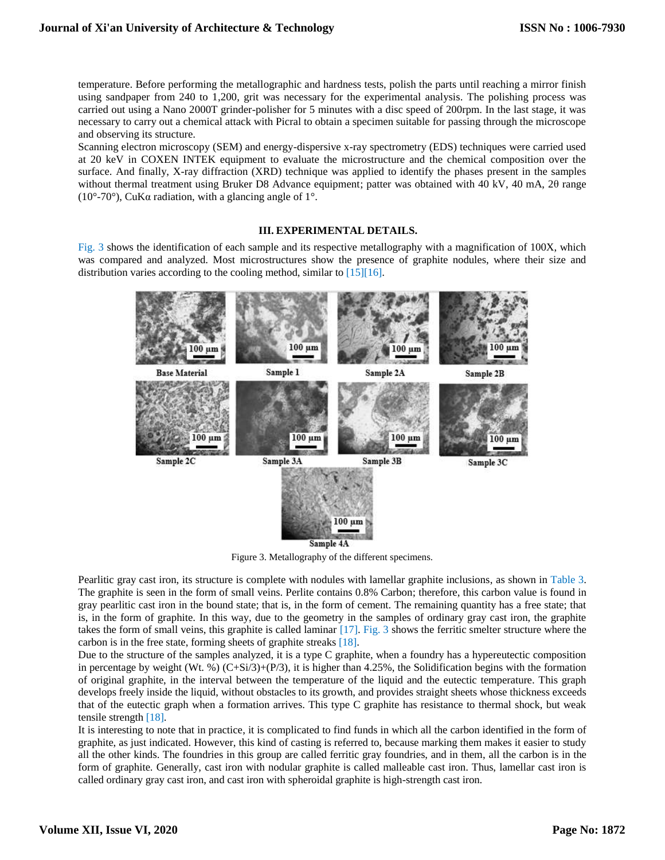temperature. Before performing the metallographic and hardness tests, polish the parts until reaching a mirror finish using sandpaper from 240 to 1,200, grit was necessary for the experimental analysis. The polishing process was carried out using a Nano 2000T grinder-polisher for 5 minutes with a disc speed of 200rpm. In the last stage, it was necessary to carry out a chemical attack with Picral to obtain a specimen suitable for passing through the microscope and observing its structure.

Scanning electron microscopy (SEM) and energy-dispersive x-ray spectrometry (EDS) techniques were carried used at 20 keV in COXEN INTEK equipment to evaluate the microstructure and the chemical composition over the surface. And finally, X-ray diffraction (XRD) technique was applied to identify the phases present in the samples without thermal treatment using Bruker D8 Advance equipment; patter was obtained with 40 kV, 40 mA, 2θ range (10°-70°), CuK $\alpha$  radiation, with a glancing angle of 1°.

# **III. EXPERIMENTAL DETAILS.**

Fig. 3 shows the identification of each sample and its respective metallography with a magnification of 100X, which was compared and analyzed. Most microstructures show the presence of graphite nodules, where their size and distribution varies according to the cooling method, similar to [15][16].



Figure 3. Metallography of the different specimens.

Pearlitic gray cast iron, its structure is complete with nodules with lamellar graphite inclusions, as shown in Table 3. The graphite is seen in the form of small veins. Perlite contains 0.8% Carbon; therefore, this carbon value is found in gray pearlitic cast iron in the bound state; that is, in the form of cement. The remaining quantity has a free state; that is, in the form of graphite. In this way, due to the geometry in the samples of ordinary gray cast iron, the graphite takes the form of small veins, this graphite is called laminar [17]. Fig. 3 shows the ferritic smelter structure where the carbon is in the free state, forming sheets of graphite streaks [18].

Due to the structure of the samples analyzed, it is a type C graphite, when a foundry has a hypereutectic composition in percentage by weight (Wt. %)  $(C+Si/3)+(P/3)$ , it is higher than 4.25%, the Solidification begins with the formation of original graphite, in the interval between the temperature of the liquid and the eutectic temperature. This graph develops freely inside the liquid, without obstacles to its growth, and provides straight sheets whose thickness exceeds that of the eutectic graph when a formation arrives. This type C graphite has resistance to thermal shock, but weak tensile strength [18].

It is interesting to note that in practice, it is complicated to find funds in which all the carbon identified in the form of graphite, as just indicated. However, this kind of casting is referred to, because marking them makes it easier to study all the other kinds. The foundries in this group are called ferritic gray foundries, and in them, all the carbon is in the form of graphite. Generally, cast iron with nodular graphite is called malleable cast iron. Thus, lamellar cast iron is called ordinary gray cast iron, and cast iron with spheroidal graphite is high-strength cast iron.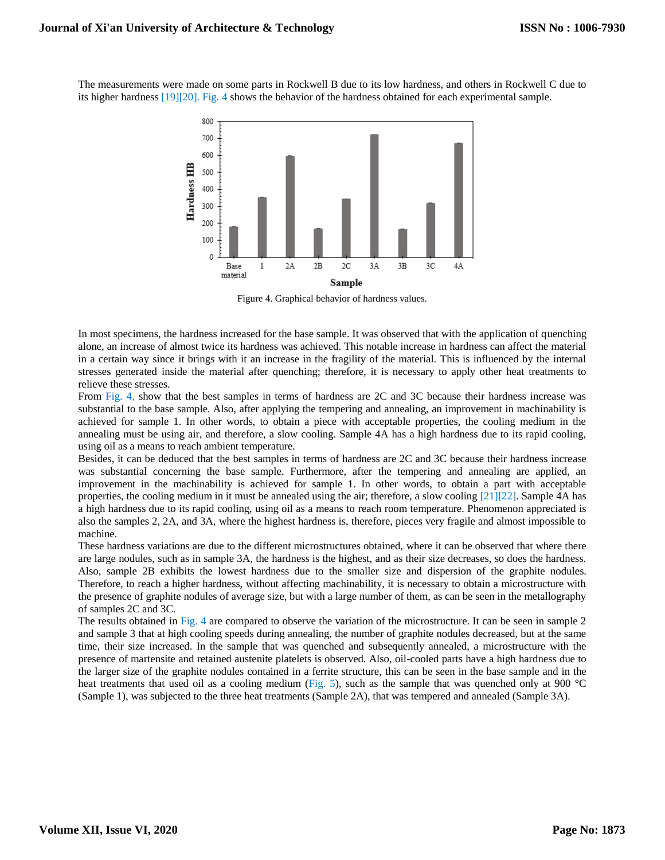The measurements were made on some parts in Rockwell B due to its low hardness, and others in Rockwell C due to its higher hardness [19][20]. Fig. 4 shows the behavior of the hardness obtained for each experimental sample.



Figure 4. Graphical behavior of hardness values.

In most specimens, the hardness increased for the base sample. It was observed that with the application of quenching alone, an increase of almost twice its hardness was achieved. This notable increase in hardness can affect the material in a certain way since it brings with it an increase in the fragility of the material. This is influenced by the internal stresses generated inside the material after quenching; therefore, it is necessary to apply other heat treatments to relieve these stresses.

From Fig. 4, show that the best samples in terms of hardness are 2C and 3C because their hardness increase was substantial to the base sample. Also, after applying the tempering and annealing, an improvement in machinability is achieved for sample 1. In other words, to obtain a piece with acceptable properties, the cooling medium in the annealing must be using air, and therefore, a slow cooling. Sample 4A has a high hardness due to its rapid cooling, using oil as a means to reach ambient temperature.

Besides, it can be deduced that the best samples in terms of hardness are 2C and 3C because their hardness increase was substantial concerning the base sample. Furthermore, after the tempering and annealing are applied, an improvement in the machinability is achieved for sample 1. In other words, to obtain a part with acceptable properties, the cooling medium in it must be annealed using the air; therefore, a slow cooling [21][22]. Sample 4A has a high hardness due to its rapid cooling, using oil as a means to reach room temperature. Phenomenon appreciated is also the samples 2, 2A, and 3A, where the highest hardness is, therefore, pieces very fragile and almost impossible to machine.

These hardness variations are due to the different microstructures obtained, where it can be observed that where there are large nodules, such as in sample 3A, the hardness is the highest, and as their size decreases, so does the hardness. Also, sample 2B exhibits the lowest hardness due to the smaller size and dispersion of the graphite nodules. Therefore, to reach a higher hardness, without affecting machinability, it is necessary to obtain a microstructure with the presence of graphite nodules of average size, but with a large number of them, as can be seen in the metallography of samples 2C and 3C.

The results obtained in Fig. 4 are compared to observe the variation of the microstructure. It can be seen in sample 2 and sample 3 that at high cooling speeds during annealing, the number of graphite nodules decreased, but at the same time, their size increased. In the sample that was quenched and subsequently annealed, a microstructure with the presence of martensite and retained austenite platelets is observed. Also, oil-cooled parts have a high hardness due to the larger size of the graphite nodules contained in a ferrite structure, this can be seen in the base sample and in the heat treatments that used oil as a cooling medium (Fig. 5), such as the sample that was quenched only at 900 °C (Sample 1), was subjected to the three heat treatments (Sample 2A), that was tempered and annealed (Sample 3A).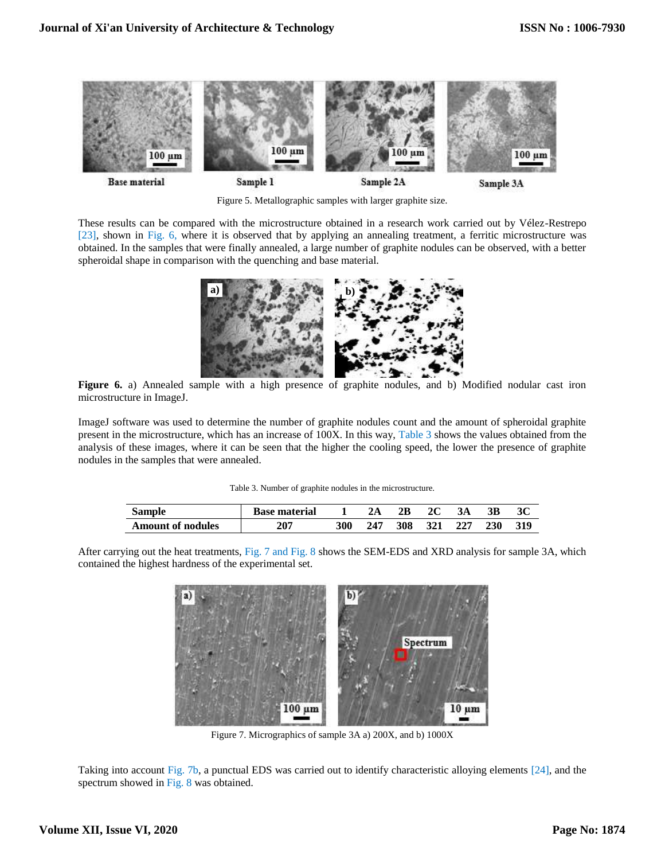

Sample 1

Sample 2A

Sample 3A

Figure 5. Metallographic samples with larger graphite size.

These results can be compared with the microstructure obtained in a research work carried out by Vélez-Restrepo [23], shown in Fig. 6, where it is observed that by applying an annealing treatment, a ferritic microstructure was obtained. In the samples that were finally annealed, a large number of graphite nodules can be observed, with a better spheroidal shape in comparison with the quenching and base material.



**Figure 6.** a) Annealed sample with a high presence of graphite nodules, and b) Modified nodular cast iron microstructure in ImageJ.

ImageJ software was used to determine the number of graphite nodules count and the amount of spheroidal graphite present in the microstructure, which has an increase of 100X. In this way, Table 3 shows the values obtained from the analysis of these images, where it can be seen that the higher the cooling speed, the lower the presence of graphite nodules in the samples that were annealed.

| Table 3. Number of graphite nodules in the microstructure. |  |
|------------------------------------------------------------|--|
|------------------------------------------------------------|--|

| <b>Sample</b>            | <b>Base material</b> |     |     | 2В  | 2C  | 3A   | 3B         |     |
|--------------------------|----------------------|-----|-----|-----|-----|------|------------|-----|
| <b>Amount of nodules</b> | 207                  | 300 | 247 | 308 | 321 | -227 | <b>230</b> | 319 |

After carrying out the heat treatments, Fig. 7 and Fig. 8 shows the SEM-EDS and XRD analysis for sample 3A, which contained the highest hardness of the experimental set.



Figure 7. Micrographics of sample 3A a) 200X, and b) 1000X

Taking into account Fig. 7b, a punctual EDS was carried out to identify characteristic alloying elements [24], and the spectrum showed in Fig. 8 was obtained.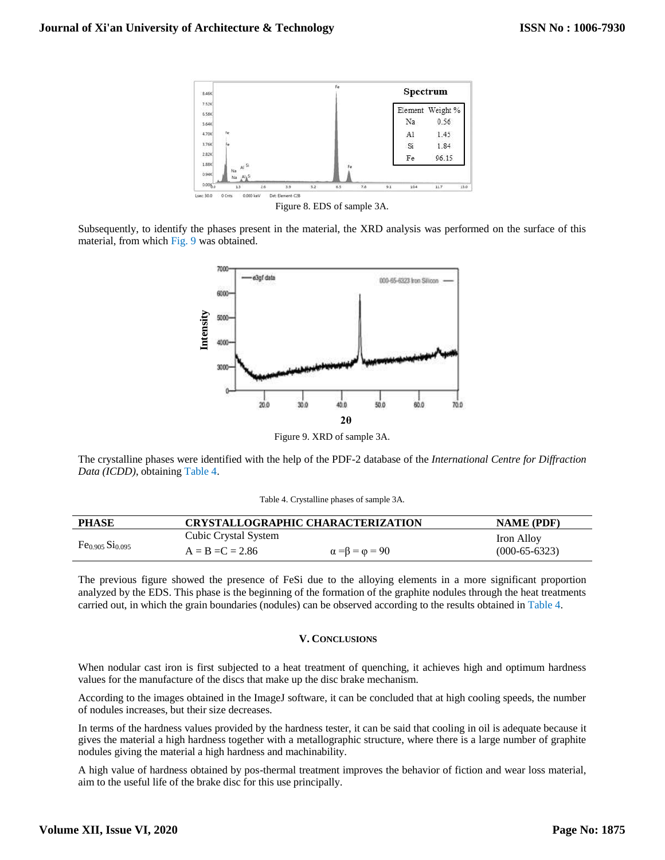

Figure 8. EDS of sample 3A.

Subsequently, to identify the phases present in the material, the XRD analysis was performed on the surface of this material, from which Fig. 9 was obtained.



Figure 9. XRD of sample 3A.

The crystalline phases were identified with the help of the PDF-2 database of the *International Centre for Diffraction Data (ICDD)*, obtaining Table 4.

Table 4. Crystalline phases of sample 3A.

| <b>PHASE</b>                            | <b>CRYSTALLOGRAPHIC CHARACTERIZATION</b> | <b>NAME (PDF)</b>               |                   |
|-----------------------------------------|------------------------------------------|---------------------------------|-------------------|
|                                         | Cubic Crystal System                     |                                 | <b>Iron Alloy</b> |
| Fe <sub>0.905</sub> Si <sub>0.095</sub> | $A = B = C = 2.86$                       | $\alpha = \beta = \varphi = 90$ | $(000-65-6323)$   |

The previous figure showed the presence of FeSi due to the alloying elements in a more significant proportion analyzed by the EDS. This phase is the beginning of the formation of the graphite nodules through the heat treatments carried out, in which the grain boundaries (nodules) can be observed according to the results obtained in Table 4.

#### **V. CONCLUSIONS**

When nodular cast iron is first subjected to a heat treatment of quenching, it achieves high and optimum hardness values for the manufacture of the discs that make up the disc brake mechanism.

According to the images obtained in the ImageJ software, it can be concluded that at high cooling speeds, the number of nodules increases, but their size decreases.

In terms of the hardness values provided by the hardness tester, it can be said that cooling in oil is adequate because it gives the material a high hardness together with a metallographic structure, where there is a large number of graphite nodules giving the material a high hardness and machinability.

A high value of hardness obtained by pos-thermal treatment improves the behavior of fiction and wear loss material, aim to the useful life of the brake disc for this use principally.